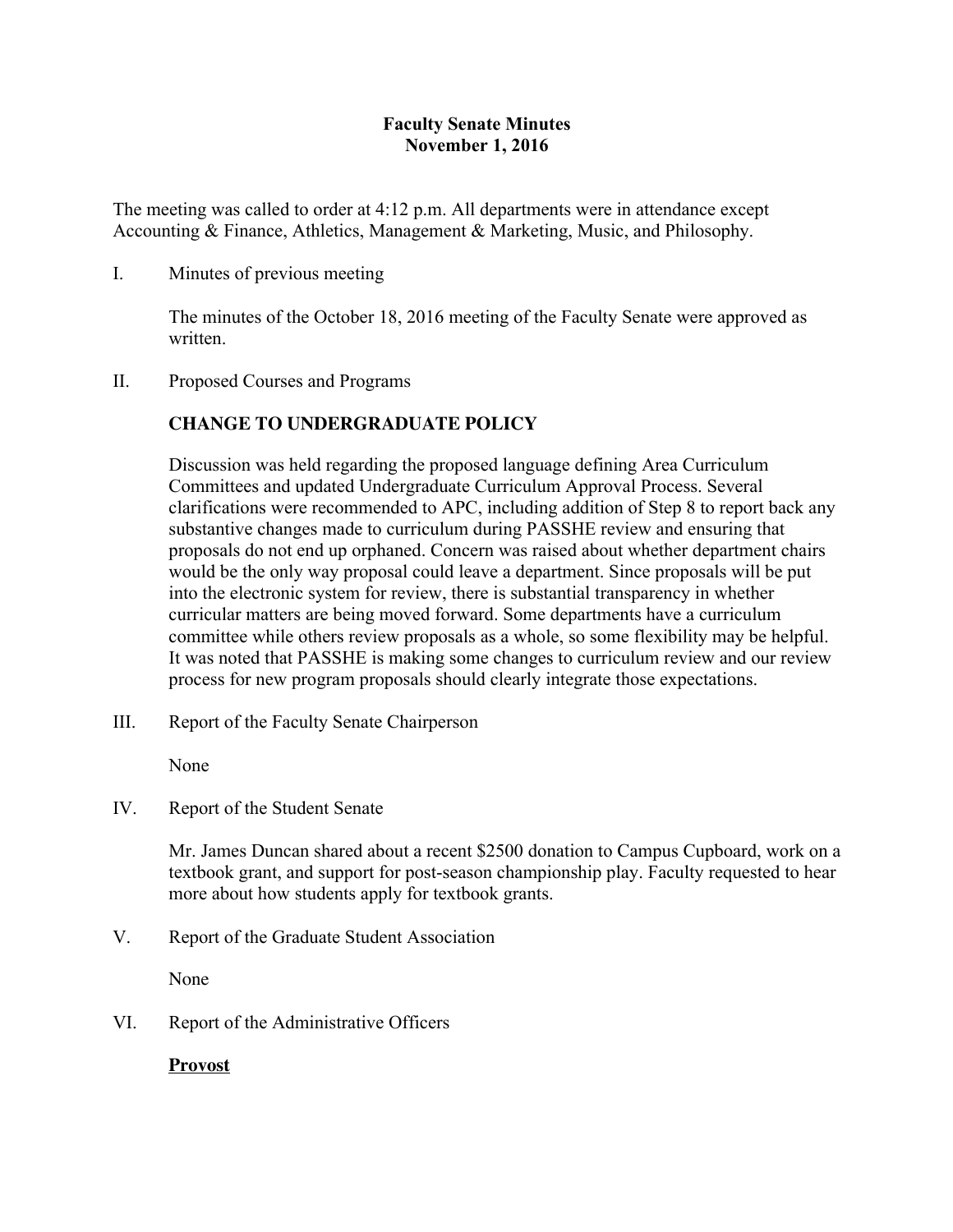# **Faculty Senate Minutes November 1, 2016**

The meeting was called to order at 4:12 p.m. All departments were in attendance except Accounting & Finance, Athletics, Management & Marketing, Music, and Philosophy.

### I. Minutes of previous meeting

The minutes of the October 18, 2016 meeting of the Faculty Senate were approved as written.

#### II. Proposed Courses and Programs

## **CHANGE TO UNDERGRADUATE POLICY**

Discussion was held regarding the proposed language defining Area Curriculum Committees and updated Undergraduate Curriculum Approval Process. Several clarifications were recommended to APC, including addition of Step 8 to report back any substantive changes made to curriculum during PASSHE review and ensuring that proposals do not end up orphaned. Concern was raised about whether department chairs would be the only way proposal could leave a department. Since proposals will be put into the electronic system for review, there is substantial transparency in whether curricular matters are being moved forward. Some departments have a curriculum committee while others review proposals as a whole, so some flexibility may be helpful. It was noted that PASSHE is making some changes to curriculum review and our review process for new program proposals should clearly integrate those expectations.

III. Report of the Faculty Senate Chairperson

None

IV. Report of the Student Senate

Mr. James Duncan shared about a recent \$2500 donation to Campus Cupboard, work on a textbook grant, and support for post-season championship play. Faculty requested to hear more about how students apply for textbook grants.

V. Report of the Graduate Student Association

None

VI. Report of the Administrative Officers

**Provost**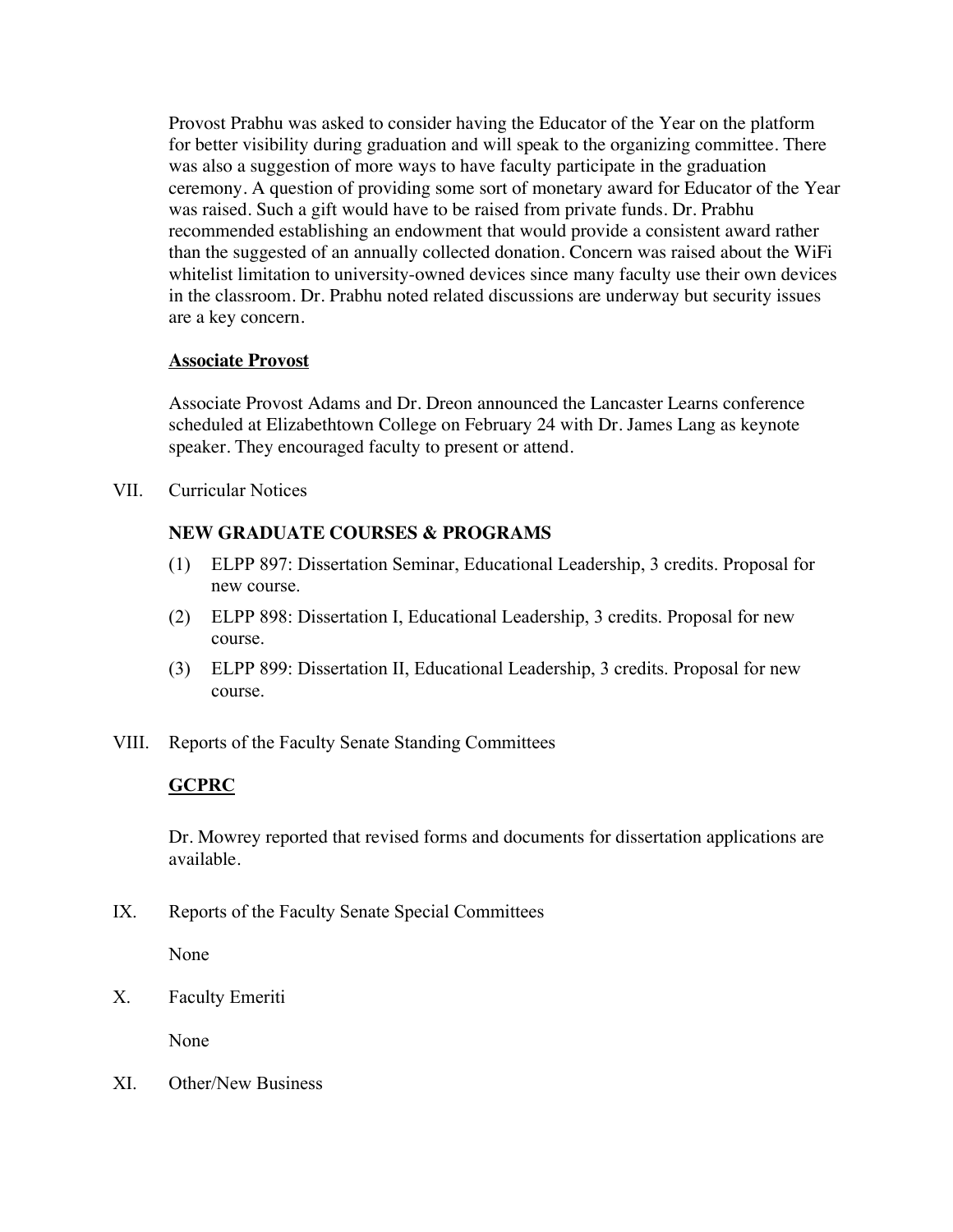Provost Prabhu was asked to consider having the Educator of the Year on the platform for better visibility during graduation and will speak to the organizing committee. There was also a suggestion of more ways to have faculty participate in the graduation ceremony. A question of providing some sort of monetary award for Educator of the Year was raised. Such a gift would have to be raised from private funds. Dr. Prabhu recommended establishing an endowment that would provide a consistent award rather than the suggested of an annually collected donation. Concern was raised about the WiFi whitelist limitation to university-owned devices since many faculty use their own devices in the classroom. Dr. Prabhu noted related discussions are underway but security issues are a key concern.

### **Associate Provost**

Associate Provost Adams and Dr. Dreon announced the Lancaster Learns conference scheduled at Elizabethtown College on February 24 with Dr. James Lang as keynote speaker. They encouraged faculty to present or attend.

VII. Curricular Notices

# **NEW GRADUATE COURSES & PROGRAMS**

- (1) ELPP 897: Dissertation Seminar, Educational Leadership, 3 credits. Proposal for new course.
- (2) ELPP 898: Dissertation I, Educational Leadership, 3 credits. Proposal for new course.
- (3) ELPP 899: Dissertation II, Educational Leadership, 3 credits. Proposal for new course.
- VIII. Reports of the Faculty Senate Standing Committees

# **GCPRC**

Dr. Mowrey reported that revised forms and documents for dissertation applications are available.

IX. Reports of the Faculty Senate Special Committees

None

X. Faculty Emeriti

None

XI. Other/New Business